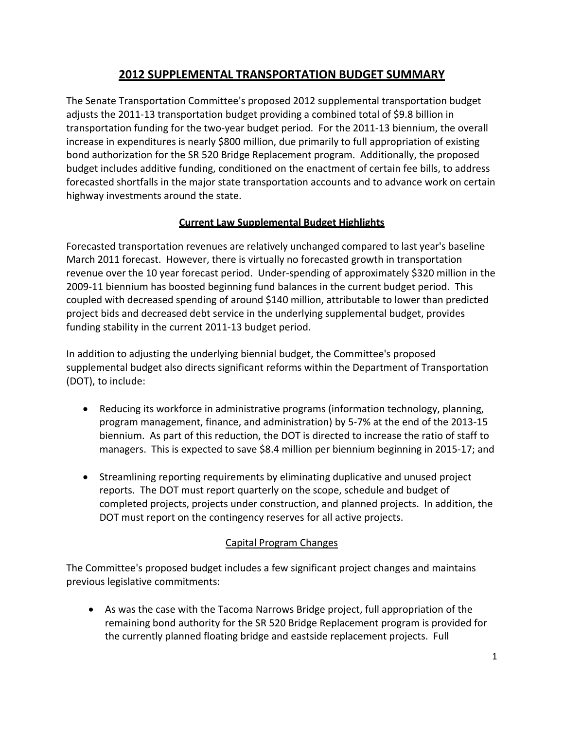# **2012 SUPPLEMENTAL TRANSPORTATION BUDGET SUMMARY**

The Senate Transportation Committee's proposed 2012 supplemental transportation budget adjusts the 2011‐13 transportation budget providing a combined total of \$9.8 billion in transportation funding for the two‐year budget period. For the 2011‐13 biennium, the overall increase in expenditures is nearly \$800 million, due primarily to full appropriation of existing bond authorization for the SR 520 Bridge Replacement program. Additionally, the proposed budget includes additive funding, conditioned on the enactment of certain fee bills, to address forecasted shortfalls in the major state transportation accounts and to advance work on certain highway investments around the state.

## **Current Law Supplemental Budget Highlights**

Forecasted transportation revenues are relatively unchanged compared to last year's baseline March 2011 forecast. However, there is virtually no forecasted growth in transportation revenue over the 10 year forecast period. Under-spending of approximately \$320 million in the 2009‐11 biennium has boosted beginning fund balances in the current budget period. This coupled with decreased spending of around \$140 million, attributable to lower than predicted project bids and decreased debt service in the underlying supplemental budget, provides funding stability in the current 2011‐13 budget period.

In addition to adjusting the underlying biennial budget, the Committee's proposed supplemental budget also directs significant reforms within the Department of Transportation (DOT), to include:

- Reducing its workforce in administrative programs (information technology, planning, program management, finance, and administration) by 5‐7% at the end of the 2013‐15 biennium. As part of this reduction, the DOT is directed to increase the ratio of staff to managers. This is expected to save \$8.4 million per biennium beginning in 2015‐17; and
- Streamlining reporting requirements by eliminating duplicative and unused project reports. The DOT must report quarterly on the scope, schedule and budget of completed projects, projects under construction, and planned projects. In addition, the DOT must report on the contingency reserves for all active projects.

# Capital Program Changes

The Committee's proposed budget includes a few significant project changes and maintains previous legislative commitments:

 As was the case with the Tacoma Narrows Bridge project, full appropriation of the remaining bond authority for the SR 520 Bridge Replacement program is provided for the currently planned floating bridge and eastside replacement projects. Full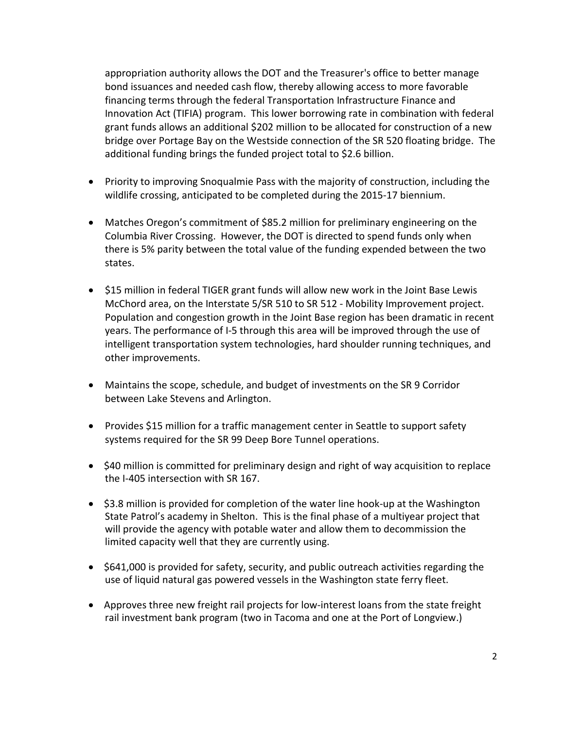appropriation authority allows the DOT and the Treasurer's office to better manage bond issuances and needed cash flow, thereby allowing access to more favorable financing terms through the federal Transportation Infrastructure Finance and Innovation Act (TIFIA) program. This lower borrowing rate in combination with federal grant funds allows an additional \$202 million to be allocated for construction of a new bridge over Portage Bay on the Westside connection of the SR 520 floating bridge. The additional funding brings the funded project total to \$2.6 billion.

- Priority to improving Snoqualmie Pass with the majority of construction, including the wildlife crossing, anticipated to be completed during the 2015‐17 biennium.
- Matches Oregon's commitment of \$85.2 million for preliminary engineering on the Columbia River Crossing. However, the DOT is directed to spend funds only when there is 5% parity between the total value of the funding expended between the two states.
- \$15 million in federal TIGER grant funds will allow new work in the Joint Base Lewis McChord area, on the Interstate 5/SR 510 to SR 512 ‐ Mobility Improvement project. Population and congestion growth in the Joint Base region has been dramatic in recent years. The performance of I‐5 through this area will be improved through the use of intelligent transportation system technologies, hard shoulder running techniques, and other improvements.
- Maintains the scope, schedule, and budget of investments on the SR 9 Corridor between Lake Stevens and Arlington.
- Provides \$15 million for a traffic management center in Seattle to support safety systems required for the SR 99 Deep Bore Tunnel operations.
- \$40 million is committed for preliminary design and right of way acquisition to replace the I‐405 intersection with SR 167.
- \$3.8 million is provided for completion of the water line hook-up at the Washington State Patrol's academy in Shelton. This is the final phase of a multiyear project that will provide the agency with potable water and allow them to decommission the limited capacity well that they are currently using.
- \$641,000 is provided for safety, security, and public outreach activities regarding the use of liquid natural gas powered vessels in the Washington state ferry fleet.
- Approves three new freight rail projects for low-interest loans from the state freight rail investment bank program (two in Tacoma and one at the Port of Longview.)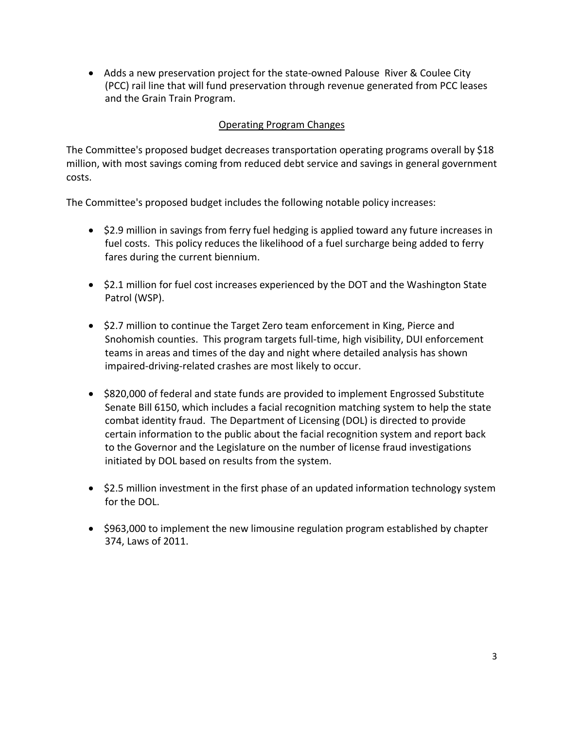■ Adds a new preservation project for the state-owned Palouse River & Coulee City (PCC) rail line that will fund preservation through revenue generated from PCC leases and the Grain Train Program.

### Operating Program Changes

The Committee's proposed budget decreases transportation operating programs overall by \$18 million, with most savings coming from reduced debt service and savings in general government costs.

The Committee's proposed budget includes the following notable policy increases:

- \$2.9 million in savings from ferry fuel hedging is applied toward any future increases in fuel costs. This policy reduces the likelihood of a fuel surcharge being added to ferry fares during the current biennium.
- $\bullet$  \$2.1 million for fuel cost increases experienced by the DOT and the Washington State Patrol (WSP).
- \$2.7 million to continue the Target Zero team enforcement in King, Pierce and Snohomish counties. This program targets full‐time, high visibility, DUI enforcement teams in areas and times of the day and night where detailed analysis has shown impaired‐driving‐related crashes are most likely to occur.
- \$820,000 of federal and state funds are provided to implement Engrossed Substitute Senate Bill 6150, which includes a facial recognition matching system to help the state combat identity fraud. The Department of Licensing (DOL) is directed to provide certain information to the public about the facial recognition system and report back to the Governor and the Legislature on the number of license fraud investigations initiated by DOL based on results from the system.
- $\bullet$  \$2.5 million investment in the first phase of an updated information technology system for the DOL.
- \$963,000 to implement the new limousine regulation program established by chapter 374, Laws of 2011.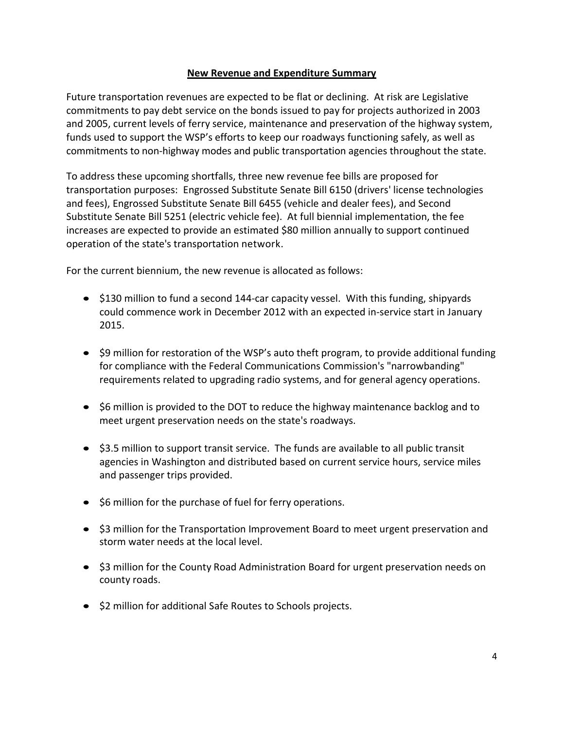#### **New Revenue and Expenditure Summary**

Future transportation revenues are expected to be flat or declining. At risk are Legislative commitments to pay debt service on the bonds issued to pay for projects authorized in 2003 and 2005, current levels of ferry service, maintenance and preservation of the highway system, funds used to support the WSP's efforts to keep our roadways functioning safely, as well as commitments to non‐highway modes and public transportation agencies throughout the state.

To address these upcoming shortfalls, three new revenue fee bills are proposed for transportation purposes: Engrossed Substitute Senate Bill 6150 (drivers' license technologies and fees), Engrossed Substitute Senate Bill 6455 (vehicle and dealer fees), and Second Substitute Senate Bill 5251 (electric vehicle fee). At full biennial implementation, the fee increases are expected to provide an estimated \$80 million annually to support continued operation of the state's transportation network.

For the current biennium, the new revenue is allocated as follows:

- \$130 million to fund a second 144-car capacity vessel. With this funding, shipyards could commence work in December 2012 with an expected in‐service start in January 2015.
- \$9 million for restoration of the WSP's auto theft program, to provide additional funding for compliance with the Federal Communications Commission's "narrowbanding" requirements related to upgrading radio systems, and for general agency operations.
- \$6 million is provided to the DOT to reduce the highway maintenance backlog and to meet urgent preservation needs on the state's roadways.
- \$3.5 million to support transit service. The funds are available to all public transit agencies in Washington and distributed based on current service hours, service miles and passenger trips provided.
- \$6 million for the purchase of fuel for ferry operations.
- \$3 million for the Transportation Improvement Board to meet urgent preservation and storm water needs at the local level.
- \$3 million for the County Road Administration Board for urgent preservation needs on county roads.
- \$2 million for additional Safe Routes to Schools projects.